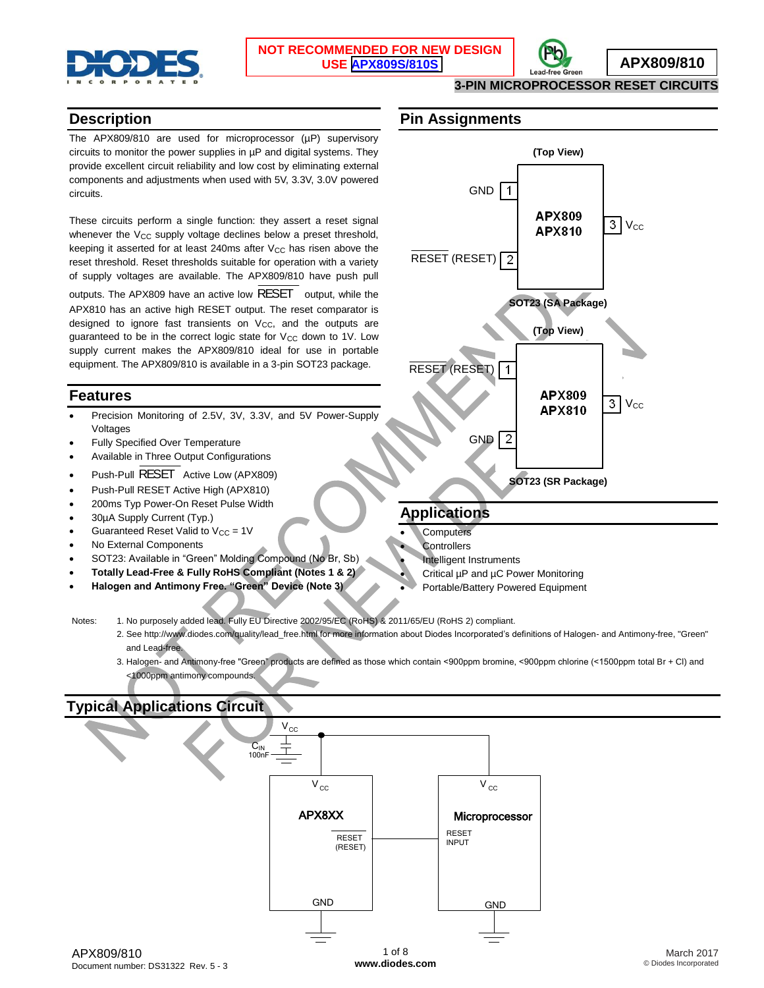



**3-PIN MICROPROCESSOR RESET CIRCUITS**

#### **Description**

The APX809/810 are used for microprocessor (µP) supervisory circuits to monitor the power supplies in  $\mu$ P and digital systems. They provide excellent circuit reliability and low cost by eliminating external components and adjustments when used with 5V, 3.3V, 3.0V powered circuits.

These circuits perform a single function: they assert a reset signal whenever the V<sub>CC</sub> supply voltage declines below a preset threshold, keeping it asserted for at least 240ms after  $V_{CC}$  has risen above the reset threshold. Reset thresholds suitable for operation with a variety of supply voltages are available. The APX809/810 have push pull outputs. The APX809 have an active low RESET output, while the APX810 has an active high RESET output. The reset comparator is designed to ignore fast transients on  $V_{CC}$ , and the outputs are guaranteed to be in the correct logic state for  $V_{CC}$  down to 1V. Low supply current makes the APX809/810 ideal for use in portable equipment. The APX809/810 is available in a 3-pin SOT23 package.

### **Features**

- Precision Monitoring of 2.5V, 3V, 3.3V, and 5V Power-Supply Voltages
- Fully Specified Over Temperature
- Available in Three Output Configurations
- Push-Pull RESET Active Low (APX809)
- Push-Pull RESET Active High (APX810)
- 200ms Typ Power-On Reset Pulse Width
- 30µA Supply Current (Typ.)
- Guaranteed Reset Valid to  $V_{CC} = 1V$
- No External Components
- SOT23: Available in "Green" Molding Compound (No Br, Sb)
- **Totally Lead-Free & Fully RoHS Compliant (Notes 1 & 2)**
- **Halogen and Antimony Free. "Green" Device (Note 3)**

#### **Pin Assignments**



## **Applications**

- **Computers**
- **Controllers**
- Intelligent Instruments
- Critical µP and µC Power Monitoring
- Portable/Battery Powered Equipment

Notes: 1. No purposely added lead. Fully EU Directive 2002/95/EC (RoHS) & 2011/65/EU (RoHS 2) compliant.

- 2. See [http://www.diodes.com/quality/lead\\_free.html fo](http://www.diodes.com/quality/lead_free.html)r more information about Diodes Incorporated's definitions of Halogen- and Antimony-free, "Green" and Lead-free.
- 3. Halogen- and Antimony-free "Green" products are defined as those which contain <900ppm bromine, <900ppm chlorine (<1500ppm total Br + Cl) and <1000ppm antimony compounds.

## **Typical Applications Circuit**

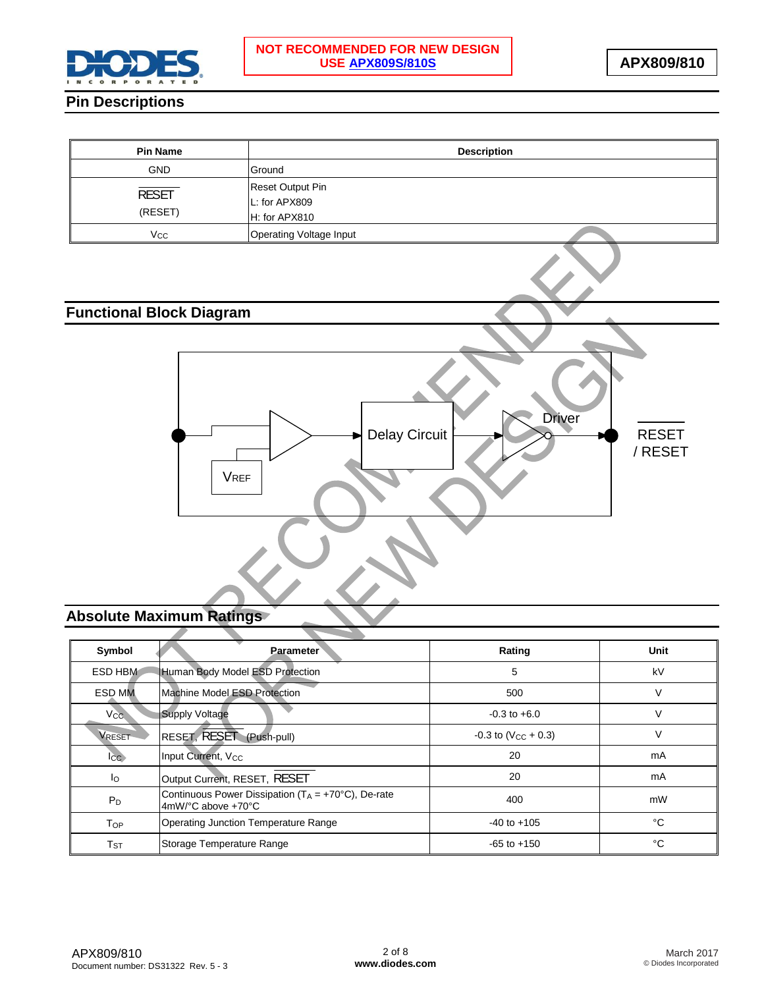

## **Pin Descriptions**

| <b>Pin Name</b>         | <b>Description</b>                                        |
|-------------------------|-----------------------------------------------------------|
| <b>GND</b>              | Ground                                                    |
| <b>RESET</b><br>(RESET) | <b>Reset Output Pin</b><br>L: for APX809<br>H: for APX810 |
| Vcc                     | Operating Voltage Input                                   |

# **Functional Block Diagram**



# **Absolute Maximum Ratings**

| Symbol                     | <b>Parameter</b>                                                                           | Rating                            | <b>Unit</b> |
|----------------------------|--------------------------------------------------------------------------------------------|-----------------------------------|-------------|
| ESD HBM                    | Human Body Model ESD Protection                                                            | 5                                 | kV          |
| <b>ESD MM</b>              | Machine Model ESD Protection                                                               | 500                               | V           |
| $V_{CC}$                   | Supply Voltage                                                                             | $-0.3$ to $+6.0$                  | V           |
| <b>VRESET</b>              | RESET, RESET (Push-pull)                                                                   | $-0.3$ to (V <sub>CC</sub> + 0.3) | V           |
| $_{\rm lcc}$               | Input Current, V <sub>CC</sub>                                                             | 20                                | mA          |
| lo                         | Output Current, RESET, RESET                                                               | 20                                | mA          |
| $P_D$                      | Continuous Power Dissipation ( $T_A = +70^{\circ}C$ ), De-rate<br>$4mW$ /°C above $+70$ °C | 400                               | mW          |
| Top                        | <b>Operating Junction Temperature Range</b>                                                | $-40$ to $+105$                   | °C          |
| $\mathsf{T}_{\texttt{ST}}$ | Storage Temperature Range                                                                  | $-65$ to $+150$                   | °C          |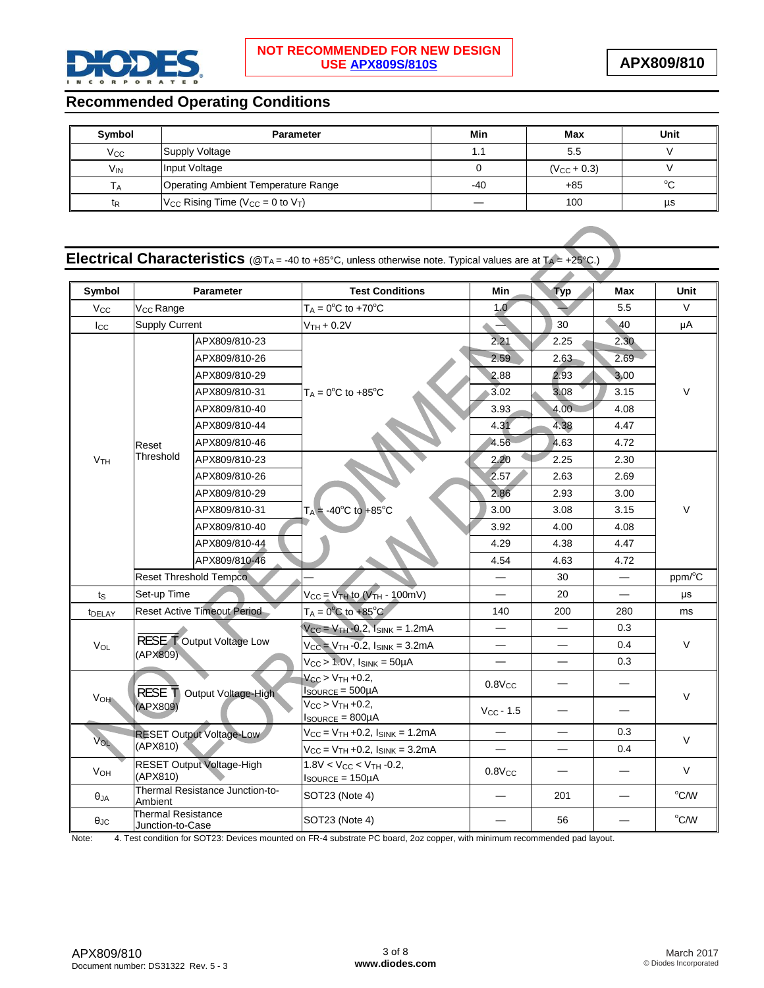

## **Recommended Operating Conditions**

| Symbol          | <b>Parameter</b>                               | Min   | Max              | Unit   |
|-----------------|------------------------------------------------|-------|------------------|--------|
| Vcc             | Supply Voltage                                 |       | 5.5              |        |
| V <sub>IN</sub> | Input Voltage                                  |       | $(V_{CC} + 0.3)$ |        |
|                 | Operating Ambient Temperature Range            | $-40$ | $+85$            | $\sim$ |
| tr              | $V_{CC}$ Rising Time ( $V_{CC} = 0$ to $V_T$ ) |       | 100              | us     |

|  | <b>Electrical Characteristics</b> ( $@T_A = -40$ to $+85^{\circ}$ C, unless otherwise note. Typical values are at $T_A = +25^{\circ}$ C.) |  |
|--|-------------------------------------------------------------------------------------------------------------------------------------------|--|
|--|-------------------------------------------------------------------------------------------------------------------------------------------|--|

| Symbol                |                                               | <b>Parameter</b>                   | <b>Test Conditions</b>                                                   | Min                      | <b>Typ</b>                    | Max  | Unit   |
|-----------------------|-----------------------------------------------|------------------------------------|--------------------------------------------------------------------------|--------------------------|-------------------------------|------|--------|
| <b>V<sub>cc</sub></b> | V <sub>CC</sub> Range                         |                                    | $T_A = 0$ <sup>o</sup> C to +70 <sup>o</sup> C                           | 1.0                      |                               | 5.5  | $\vee$ |
| $I_{\rm CC}$          | <b>Supply Current</b>                         |                                    | $VTH + 0.2V$                                                             |                          | 30                            | 40   | μA     |
|                       |                                               | APX809/810-23                      |                                                                          | 2.21                     | 2.25                          | 2.30 |        |
|                       |                                               | APX809/810-26                      | $T_A = 0$ <sup>o</sup> C to +85 <sup>o</sup> C                           | 2.59                     | 2.63                          | 2.69 |        |
|                       |                                               | APX809/810-29                      |                                                                          | 2.88                     | 2.93                          | 3.00 |        |
|                       |                                               | APX809/810-31                      |                                                                          | 3.02                     | 3.08                          | 3.15 | $\vee$ |
|                       |                                               | APX809/810-40                      |                                                                          |                          | 4.00                          | 4.08 |        |
|                       |                                               | APX809/810-44                      |                                                                          | 3.93<br>4.31             | 4.38                          |      |        |
|                       |                                               |                                    |                                                                          |                          |                               | 4.47 |        |
|                       | Reset<br>Threshold                            | APX809/810-46                      |                                                                          | 4.56                     | 4.63                          | 4.72 |        |
| V <sub>TH</sub>       |                                               | APX809/810-23                      |                                                                          | 2.20                     | 2.25                          | 2.30 |        |
|                       |                                               | APX809/810-26                      |                                                                          | 2.57                     | 2.63                          | 2.69 |        |
|                       |                                               | APX809/810-29                      |                                                                          | 2.86                     | 2.93                          | 3.00 | $\vee$ |
|                       |                                               | APX809/810-31                      | $T_A = -40^{\circ}C$ to $+85^{\circ}C$                                   | 3.00                     | 3.08                          | 3.15 |        |
|                       |                                               | APX809/810-40                      |                                                                          | 3.92                     | 4.00                          | 4.08 |        |
|                       |                                               | APX809/810-44                      |                                                                          | 4.29                     | 4.38                          | 4.47 |        |
|                       |                                               | APX809/810-46                      |                                                                          | 4.54                     | 4.63                          | 4.72 |        |
|                       |                                               | <b>Reset Threshold Tempco</b>      |                                                                          |                          | 30                            |      | ppm/°C |
| $t_{\rm S}$           | Set-up Time                                   |                                    | $V_{CC} = V_{TH}$ to $(V_{TH} - 100 \text{mV})$                          |                          | 20                            |      | μs     |
| <b><i>t</i></b> DELAY |                                               | <b>Reset Active Timeout Period</b> | $T_A = 0$ °C to +85°C                                                    | 140                      | 200                           | 280  | ms     |
|                       |                                               |                                    | $V_{CC} = V_{TH} - 0.2$ , $I_{SINK} = 1.2mA$                             |                          |                               | 0.3  |        |
| VOL                   | (APX809)                                      | <b>RESE TOutput Voltage Low</b>    | $V_{CC} = V_{TH} - 0.2$ , $I_{SINK} = 3.2mA$                             |                          |                               | 0.4  | V      |
|                       |                                               |                                    | $V_{CC}$ > 1.0V, $I_{SINK}$ = 50µA                                       |                          |                               | 0.3  |        |
|                       | RESE T Output Voltage-High                    |                                    | $V_{CC}$ > $V_{TH}$ +0.2,<br>$Isource = 500\mu A$                        | $0.8V_{CC}$              |                               |      |        |
| VOH                   | (APX809)                                      |                                    | $V_{CC}$ > $V_{TH}$ +0.2,<br>$I_{\text{SOURCE}} = 800 \mu \text{A}$      | $V_{CC}$ - 1.5           |                               |      | $\vee$ |
|                       | RESET Output Voltage-Low                      |                                    | $V_{CC} = V_{TH} + 0.2$ , $I_{SINK} = 1.2mA$                             |                          |                               | 0.3  | V      |
| VOL                   | (APX810)                                      |                                    | $V_{CC} = V_{TH} + 0.2$ , $I_{SINK} = 3.2mA$                             | $\overline{\phantom{0}}$ | $\overline{\phantom{0}}$      | 0.4  |        |
| $V_{OH}$              | (APX810)                                      | RESET Output Voltage-High          | $1.8V < V_{CC} < V_{TH}$ -0.2,<br>$I_{\text{SOWRCE}} = 150 \mu \text{A}$ | $0.8V_{CC}$              | $\overbrace{\phantom{12333}}$ |      | V      |
| $\theta_{JA}$         | Ambient                                       | Thermal Resistance Junction-to-    | SOT23 (Note 4)                                                           |                          | 201                           |      | °C/W   |
| $\theta$ JC           | <b>Thermal Resistance</b><br>Junction-to-Case |                                    | SOT23 (Note 4)                                                           |                          | 56                            |      | °C/W   |

Note: 4. Test condition for SOT23: Devices mounted on FR-4 substrate PC board, 2oz copper, with minimum recommended pad layout.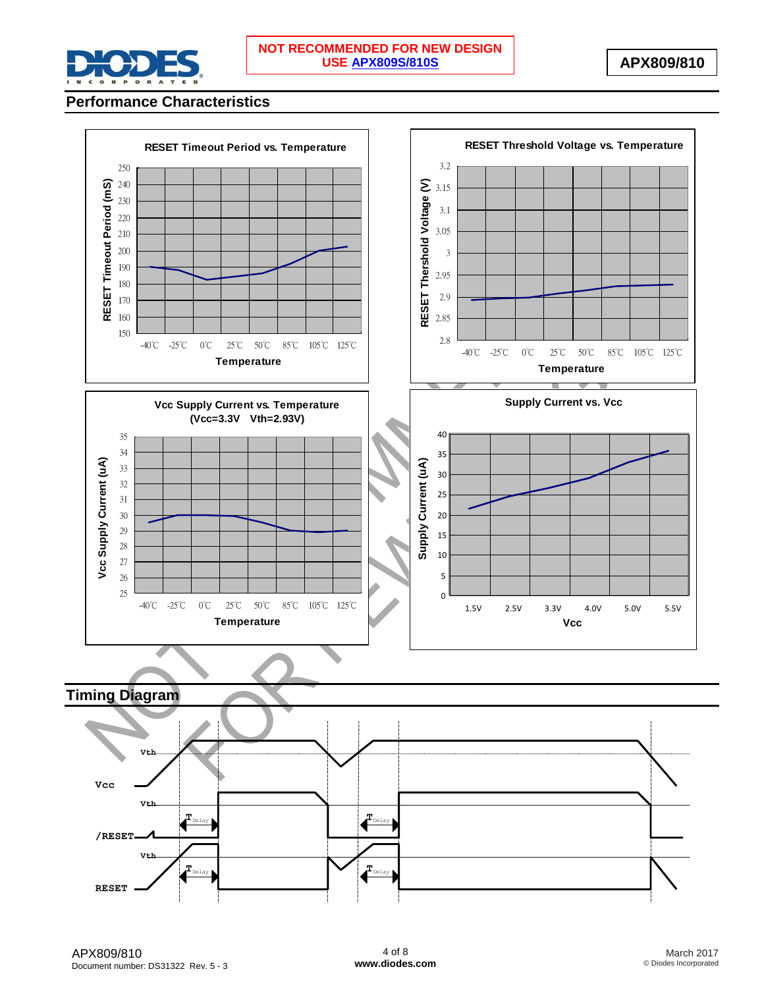

## **Performance Characteristics**

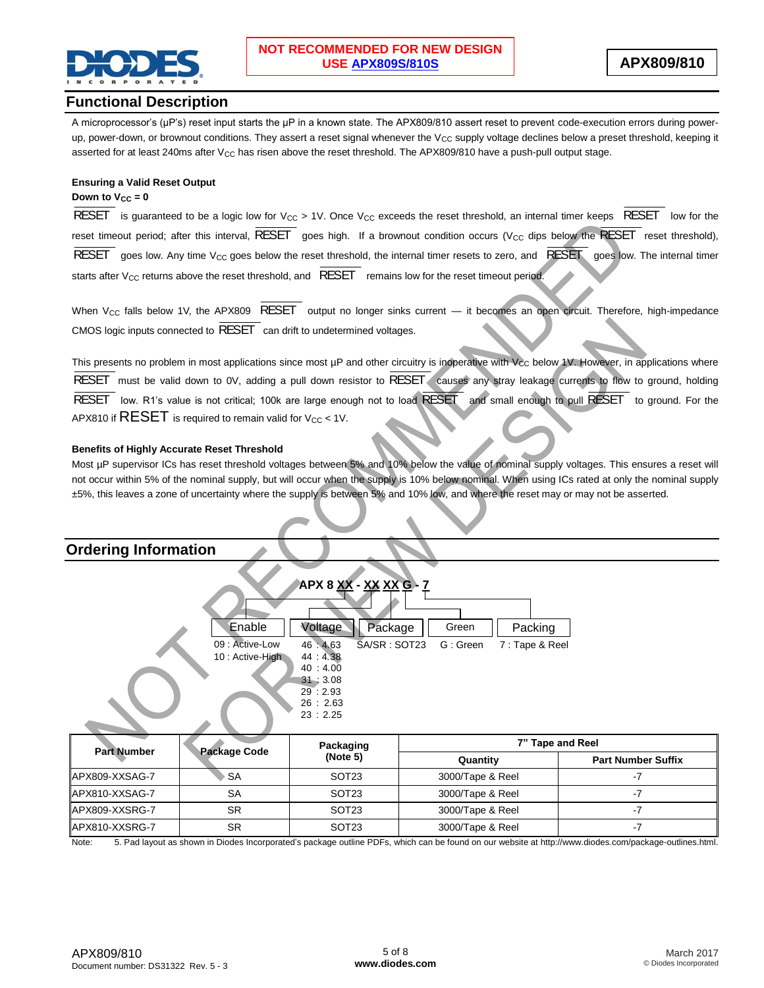

### **Functional Description**

A microprocessor's (µP's) reset input starts the µP in a known state. The APX809/810 assert reset to prevent code-execution errors during powerup, power-down, or brownout conditions. They assert a reset signal whenever the  $V_{CC}$  supply voltage declines below a preset threshold, keeping it asserted for at least 240ms after  $V_{CC}$  has risen above the reset threshold. The APX809/810 have a push-pull output stage.

#### **Ensuring a Valid Reset Output**

#### **Down to**  $V_{CC} = 0$

RESET is guaranteed to be a logic low for  $V_{CC} > 1V$ . Once  $V_{CC}$  exceeds the reset threshold, an internal timer keeps RESET low for the reset timeout period; after this interval, RESET goes high. If a brownout condition occurs (V<sub>CC</sub> dips below the RESET reset threshold), RESET goes low. Any time V<sub>CC</sub> goes below the reset threshold, the internal timer resets to zero, and RESET goes low. The internal timer starts after  $V_{CC}$  returns above the reset threshold, and  $\overline{\text{ REST}}$  remains low for the reset timeout period.

When V<sub>CC</sub> falls below 1V, the APX809 RESET output no longer sinks current — it becomes an open circuit. Therefore, high-impedance CMOS logic inputs connected to RESET can drift to undetermined voltages.

This presents no problem in most applications since most  $\mu$ P and other circuitry is inoperative with V<sub>CC</sub> below 1V. However, in applications where RESET must be valid down to 0V, adding a pull down resistor to RESET causes any stray leakage currents to flow to ground, holding RESET low. R1's value is not critical; 100k are large enough not to load RESET and small enough to pull RESET to ground. For the APX810 if  $RESET$  is required to remain valid for  $V_{CC}$  < 1V.

#### **Benefits of Highly Accurate Reset Threshold**

Most µP supervisor ICs has reset threshold voltages between 5% and 10% below the value of nominal supply voltages. This ensures a reset will not occur within 5% of the nominal supply, but will occur when the supply is 10% below nominal. When using ICs rated at only the nominal supply ±5%, this leaves a zone of uncertainty where the supply is between 5% and 10% low, and where the reset may or may not be asserted.



Note: 5. Pad layout as shown in Diodes Incorporated's package outline PDFs, which can be found on our website at [http://www.diodes.com/package-outlines.html.](http://www.diodes.com/package-outlines.html)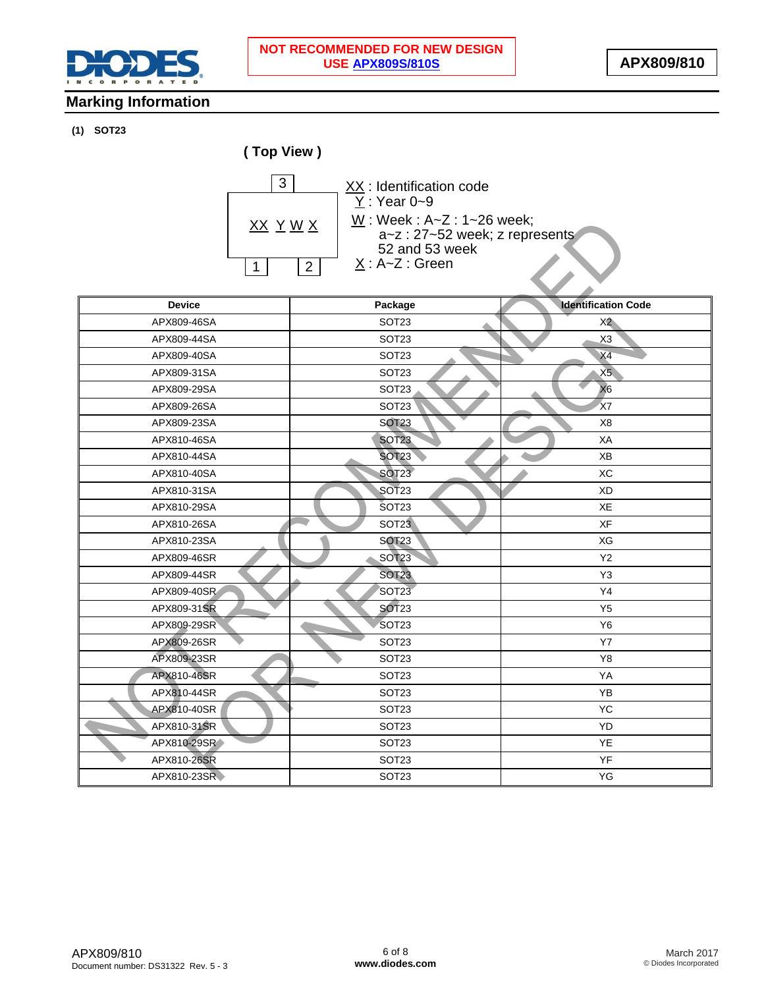

 $\overline{\phantom{a}}$ 

## **Marking Information**

#### **(1) SOT23**



XX: Identification code W : Week : A~Z : 1~26 week;  $X : A \sim Z : Green$  $Y : Year 0-9$ a~z : 27~52 week; z represents 52 and 53 week

| <b>Device</b> | Package           | <b>Identification Code</b> |
|---------------|-------------------|----------------------------|
| APX809-46SA   | SOT <sub>23</sub> | X <sub>2</sub>             |
| APX809-44SA   | SOT <sub>23</sub> | X <sub>3</sub>             |
| APX809-40SA   | SOT <sub>23</sub> | X4                         |
| APX809-31SA   | SOT <sub>23</sub> | X5                         |
| APX809-29SA   | SOT <sub>23</sub> | X <sub>6</sub>             |
| APX809-26SA   | SOT <sub>23</sub> | X7                         |
| APX809-23SA   | <b>SOT23</b>      | X <sub>8</sub>             |
| APX810-46SA   | <b>SOT23</b>      | XA                         |
| APX810-44SA   | <b>SOT23</b>      | XB                         |
| APX810-40SA   | <b>SOT23</b>      | XC                         |
| APX810-31SA   | SOT <sub>23</sub> | <b>XD</b>                  |
| APX810-29SA   | SOT <sub>23</sub> | XE                         |
| APX810-26SA   | SOT <sub>23</sub> | XF                         |
| APX810-23SA   | <b>SOT23</b>      | XG                         |
| APX809-46SR   | <b>SOT23</b>      | Y2                         |
| APX809-44SR   | <b>SOT23</b>      | Y <sub>3</sub>             |
| APX809-40SR   | SOT <sub>23</sub> | Y4                         |
| APX809-31SR   | SOT <sub>23</sub> | Y <sub>5</sub>             |
| APX809-29SR   | SOT <sub>23</sub> | <b>Y6</b>                  |
| APX809-26SR   | SOT <sub>23</sub> | <b>Y7</b>                  |
| APX809-23SR   | SOT <sub>23</sub> | Y8                         |
| APX810-46SR   | SOT <sub>23</sub> | YA                         |
| APX810-44SR   | SOT <sub>23</sub> | YB                         |
| APX810-40SR   | SOT <sub>23</sub> | YC                         |
| APX810-31SR   | SOT <sub>23</sub> | YD                         |
| APX810-29SR   | SOT <sub>23</sub> | YE                         |
| APX810-26SR   | SOT <sub>23</sub> | YF                         |
| APX810-23SR   | SOT <sub>23</sub> | YG                         |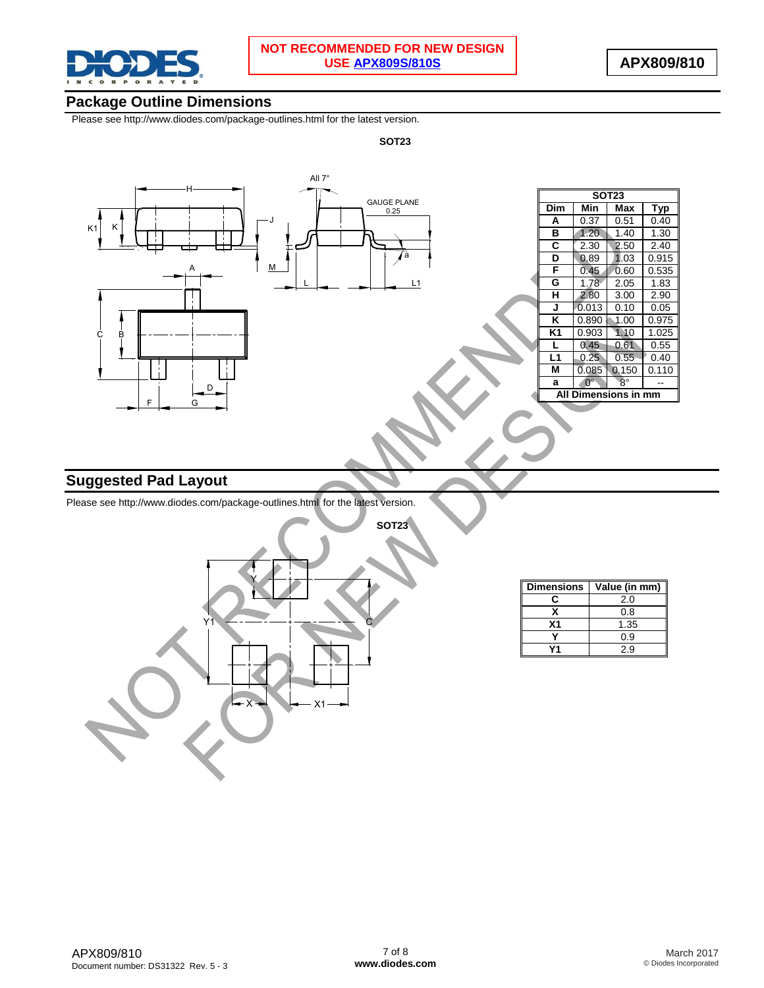

### **Package Outline Dimensions**

Please see <http://www.diodes.com/package-outlines.html> for the latest version.

**SOT23**